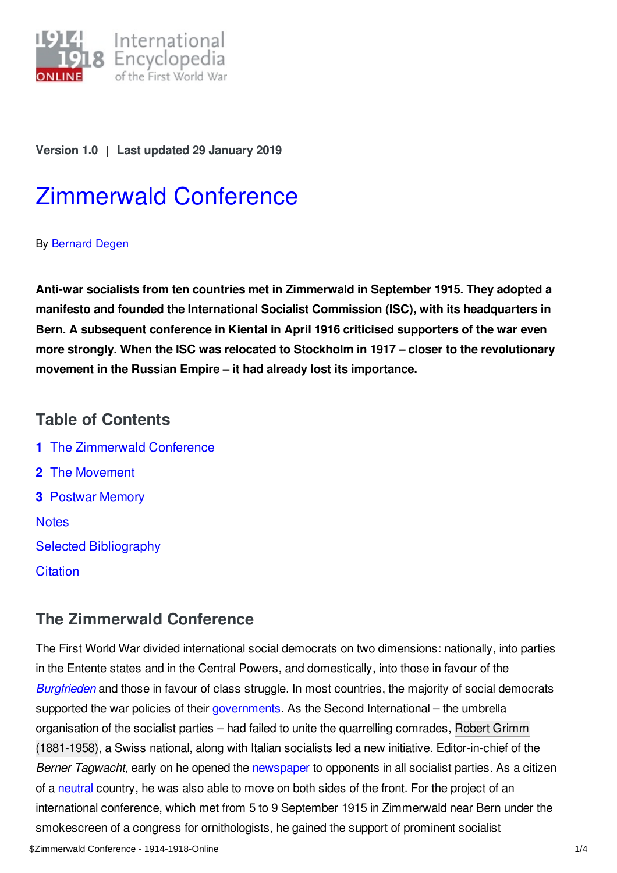

**Version 1.0** | **Last updated 29 January 2019**

# [Zimmerwald](https://encyclopedia.1914-1918-online.net/article/zimmerwald_conference) Conference

#### By [Bernard](https://encyclopedia.1914-1918-online.net/contributors/Bernard_Degen) Degen

**Anti-war socialists from ten countries met in Zimmerwald in September 1915. They adopted a manifesto and founded the International Socialist Commission (ISC), with its headquarters in Bern. A subsequent conference in Kiental in April 1916 criticised supporters of the war even more strongly. When the ISC was relocated to Stockholm in 1917 – closer to the revolutionary movement in the Russian Empire – it had already lost its importance.**

# **Table of Contents**

**1** The [Zimmerwald](#page-0-0) Conference **2** The [Movement](#page-1-0) **3** [Postwar](#page-2-0) Memory **[Notes](#page-2-1)** Selected [Bibliography](#page-3-0) **[Citation](#page-3-1)** 

## <span id="page-0-0"></span>**The Zimmerwald Conference**

The First World War divided international social democrats on two dimensions: nationally, into parties in the Entente states and in the Central Powers, and domestically, into those in favour of the *[Burgfrieden](https://encyclopedia.1914-1918-online.net/article/burgfriedenunion_sacree)* and those in favour of class struggle. In most countries, the majority of social democrats supported the war policies of their [governments](https://encyclopedia.1914-1918-online.net/article/governments_parliaments_and_parties). As the Second International – the umbrella organisation of the socialist parties – had failed to unite the quarrelling comrades, Robert Grimm (1881-1958), a Swiss national, along with Italian socialists led a new initiative. [Editor-in-chief](https://encyclopedia.1914-1918-online.net/index/names/11869779X) of the *Berner Tagwacht*, early on he opened the [newspaper](https://encyclopedia.1914-1918-online.net/article/pressjournalism) to opponents in all socialist parties. As a citizen of a [neutral](https://encyclopedia.1914-1918-online.net/article/neutrality) country, he was also able to move on both sides of the front. For the project of an international conference, which met from 5 to 9 September 1915 in Zimmerwald near Bern under the smokescreen of a congress for ornithologists, he gained the support of prominent socialist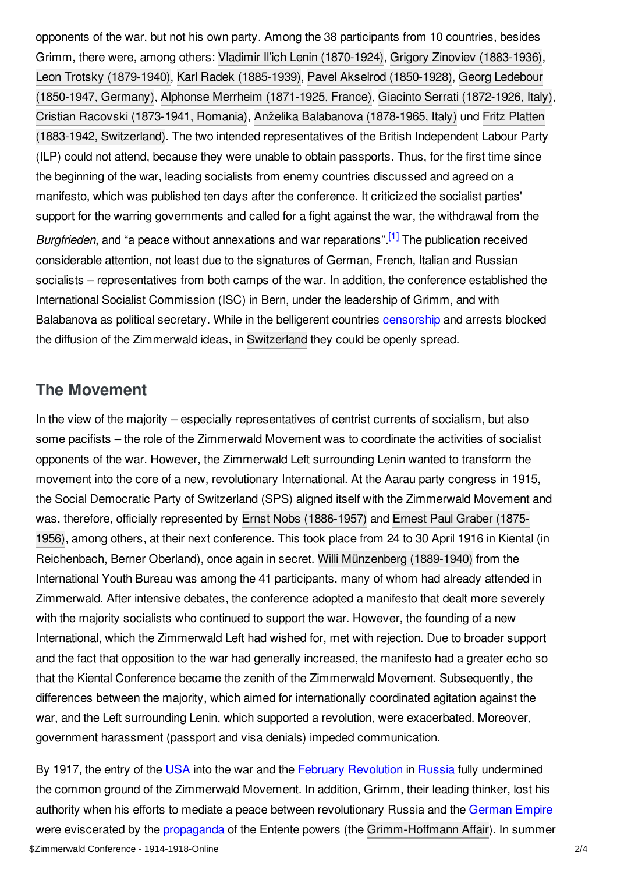opponents of the war, but not his own party. Among the 38 participants from 10 countries, besides Grimm, there were, among others: Vladimir Il'ich Lenin [\(1870-1924\)](https://encyclopedia.1914-1918-online.net/index/names/118640402), Grigory Zinoviev [\(1883-1936\)](https://encyclopedia.1914-1918-online.net/index/names/118904477), Leon Trotsky [\(1879-1940](https://encyclopedia.1914-1918-online.net/index/names/118642979)[\),](https://encyclopedia.1914-1918-online.net/index/names/118726994) Karl Radek [\(1885-1939\)](https://encyclopedia.1914-1918-online.net/index/names/118597639), Pavel Akselrod [\(1850-1928\)](https://encyclopedia.1914-1918-online.net/index/names/119556189), Georg Ledebour (1850-1947, Germany), Alphonse Merrheim [\(1871-1925,](https://encyclopedia.1914-1918-online.net/index/names/122307933) France), Giacinto Serrati [\(1872-1926,](https://encyclopedia.1914-1918-online.net/index/names/123942527) Italy), Cristian Racovski [\(1873-1941,](https://encyclopedia.1914-1918-online.net/index/names/119090538) Romania), Anželika Balabanova [\(1878-1965,](https://encyclopedia.1914-1918-online.net/index/names/118945572) Italy) und Fritz Platten (1883-1942, Switzerland). The two intended [representatives](https://encyclopedia.1914-1918-online.net/index/names/118594907) of the British Independent Labour Party (ILP) could not attend, because they were unable to obtain passports. Thus, for the first time since the beginning of the war, leading socialists from enemy countries discussed and agreed on a manifesto, which was published ten days after the conference. It criticized the socialist parties' support for the warring governments and called for a fight against the war, the withdrawal from the Burgfrieden, and "a peace without annexations and war reparations".<sup>[\[1\]](#page-3-2)</sup> The publication received considerable attention, not least due to the signatures of German, French, Italian and Russian socialists – representatives from both camps of the war. In addition, the conference established the International Socialist Commission (ISC) in Bern, under the leadership of Grimm, and with Balabanova as political secretary. While in the belligerent countries [censorship](https://encyclopedia.1914-1918-online.net/article/censorship) and arrests blocked the diffusion of the Zimmerwald ideas, in [Switzerland](https://encyclopedia.1914-1918-online.net/article/switzerland) they could be openly spread.

## <span id="page-1-1"></span><span id="page-1-0"></span>**The Movement**

In the view of the majority – especially representatives of centrist currents of socialism, but also some pacifists – the role of the Zimmerwald Movement was to coordinate the activities of socialist opponents of the war. However, the Zimmerwald Left surrounding Lenin wanted to transform the movement into the core of a new, revolutionary International. At the Aarau party congress in 1915, the Social Democratic Party of Switzerland (SPS) aligned itself with the Zimmerwald Movement and was, therefore, officially represented by Ernst Nobs [\(1886-1957](https://encyclopedia.1914-1918-online.net/index/names/118786350)[\)](https://encyclopedia.1914-1918-online.net/index/names/1050465237) and Ernest Paul Graber (1875- 1956), among others, at their next conference. This took place from 24 to 30 April 1916 in Kiental (in Reichenbach, Berner Oberland), once again in secret. Willi [Münzenberg](https://encyclopedia.1914-1918-online.net/index/names/118585541) (1889-1940) from the International Youth Bureau was among the 41 participants, many of whom had already attended in Zimmerwald. After intensive debates, the conference adopted a manifesto that dealt more severely with the majority socialists who continued to support the war. However, the founding of a new International, which the Zimmerwald Left had wished for, met with rejection. Due to broader support and the fact that opposition to the war had generally increased, the manifesto had a greater echo so that the Kiental Conference became the zenith of the Zimmerwald Movement. Subsequently, the differences between the majority, which aimed for internationally coordinated agitation against the war, and the Left surrounding Lenin, which supported a revolution, were exacerbated. Moreover, government harassment (passport and visa denials) impeded communication.

By 1917, the entry of the [USA](https://encyclopedia.1914-1918-online.net/article/united_states_of_america) into the war and the February [Revolution](https://encyclopedia.1914-1918-online.net/article/revolutions_russian_empire) in [Russia](https://encyclopedia.1914-1918-online.net/article/russian_empire) fully undermined the common ground of the Zimmerwald Movement. In addition, Grimm, their leading thinker, lost his authority when his efforts to mediate a peace between revolutionary Russia and the [German](https://encyclopedia.1914-1918-online.net/article/germany) Empire were eviscerated by the [propaganda](https://encyclopedia.1914-1918-online.net/article/propaganda_media_in_war_politics) of the Entente powers (the [Grimm-Hoffmann](https://encyclopedia.1914-1918-online.net/article/grimm-hoffmann_affair) Affair). In summer \$Zimmerwald Conference - 1914-1918-Online 2/4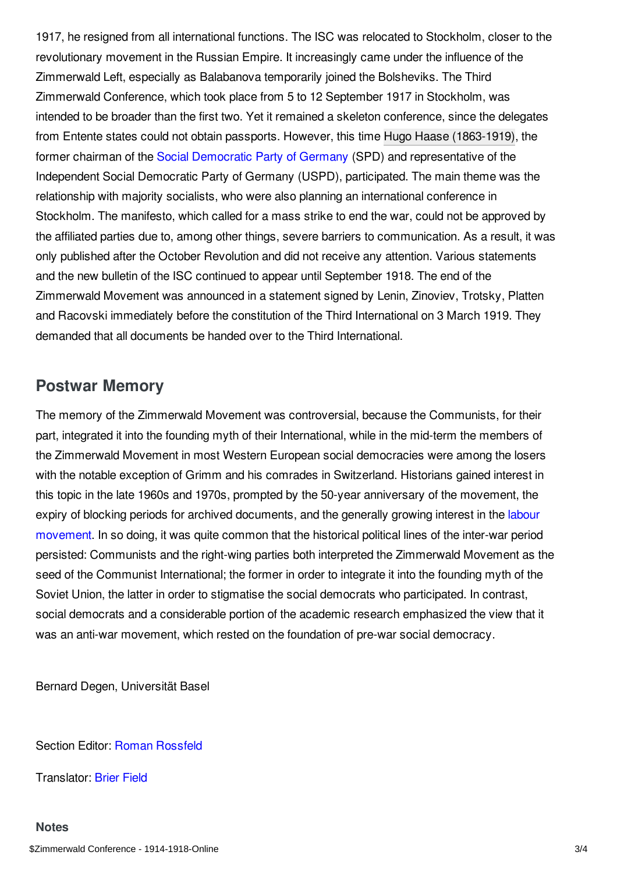1917, he resigned from all international functions. The ISC was relocated to Stockholm, closer to the revolutionary movement in the Russian Empire. It increasingly came under the influence of the Zimmerwald Left, especially as Balabanova temporarily joined the Bolsheviks. The Third Zimmerwald Conference, which took place from 5 to 12 September 1917 in Stockholm, was intended to be broader than the first two. Yet it remained a skeleton conference, since the delegates from Entente states could not obtain passports. However, this time Hugo Haase [\(1863-1919\),](https://encyclopedia.1914-1918-online.net/index/names/11854411X) the former chairman of the Social [Democratic](https://encyclopedia.1914-1918-online.net/article/social_democratic_party_of_germany_spd) Party of Germany (SPD) and representative of the Independent Social Democratic Party of Germany (USPD), participated. The main theme was the relationship with majority socialists, who were also planning an international conference in Stockholm. The manifesto, which called for a mass strike to end the war, could not be approved by the affiliated parties due to, among other things, severe barriers to communication. As a result, it was only published after the October Revolution and did not receive any attention. Various statements and the new bulletin of the ISC continued to appear until September 1918. The end of the Zimmerwald Movement was announced in a statement signed by Lenin, Zinoviev, Trotsky, Platten and Racovski immediately before the constitution of the Third International on 3 March 1919. They demanded that all documents be handed over to the Third International.

## <span id="page-2-0"></span>**Postwar Memory**

The memory of the Zimmerwald Movement was controversial, because the Communists, for their part, integrated it into the founding myth of their International, while in the mid-term the members of the Zimmerwald Movement in most Western European social democracies were among the losers with the notable exception of Grimm and his comrades in Switzerland. Historians gained interest in this topic in the late 1960s and 1970s, prompted by the 50-year anniversary of the movement, the expiry of blocking periods for archived [documents,](https://encyclopedia.1914-1918-online.net/article/labour_movements_trade_unions_and_strikes) and the generally growing interest in the labour movement. In so doing, it was quite common that the historical political lines of the inter-war period persisted: Communists and the right-wing parties both interpreted the Zimmerwald Movement as the seed of the Communist International; the former in order to integrate it into the founding myth of the Soviet Union, the latter in order to stigmatise the social democrats who participated. In contrast, social democrats and a considerable portion of the academic research emphasized the view that it was an anti-war movement, which rested on the foundation of pre-war social democracy.

Bernard Degen, Universität Basel

Section Editor: Roman [Rossfeld](https://encyclopedia.1914-1918-online.net/contributors/Roman_Rossfeld)

<span id="page-2-1"></span>Translator: [Brier](https://encyclopedia.1914-1918-online.net/contributors/Brier_Field) Field